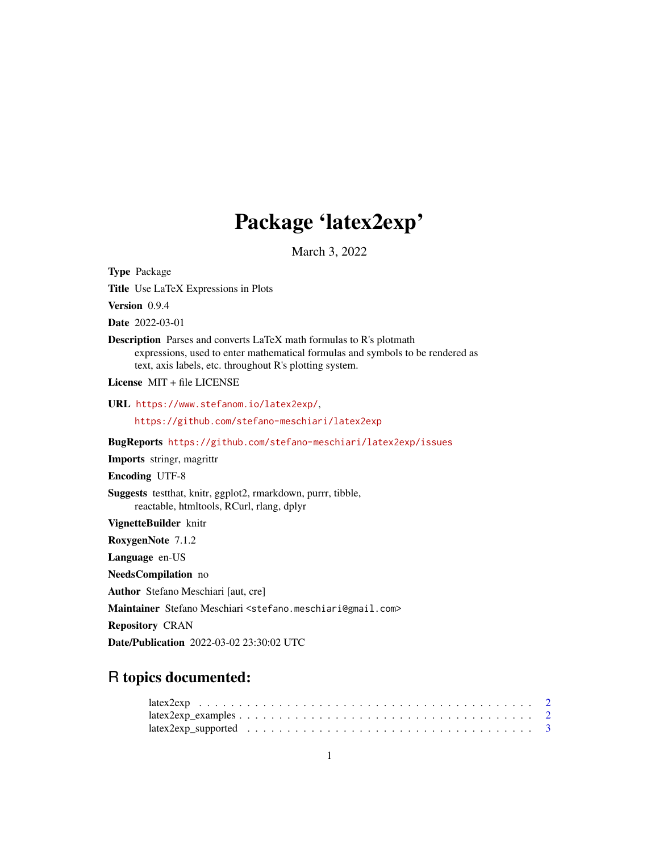## Package 'latex2exp'

March 3, 2022

<span id="page-0-0"></span>Type Package

Title Use LaTeX Expressions in Plots

Version 0.9.4

Date 2022-03-01

Description Parses and converts LaTeX math formulas to R's plotmath expressions, used to enter mathematical formulas and symbols to be rendered as text, axis labels, etc. throughout R's plotting system.

License MIT + file LICENSE

URL <https://www.stefanom.io/latex2exp/>,

<https://github.com/stefano-meschiari/latex2exp>

BugReports <https://github.com/stefano-meschiari/latex2exp/issues>

Imports stringr, magrittr

Encoding UTF-8

Suggests testthat, knitr, ggplot2, rmarkdown, purrr, tibble, reactable, htmltools, RCurl, rlang, dplyr

VignetteBuilder knitr

RoxygenNote 7.1.2

Language en-US

NeedsCompilation no

Author Stefano Meschiari [aut, cre]

Maintainer Stefano Meschiari <stefano.meschiari@gmail.com>

Repository CRAN

Date/Publication 2022-03-02 23:30:02 UTC

### R topics documented: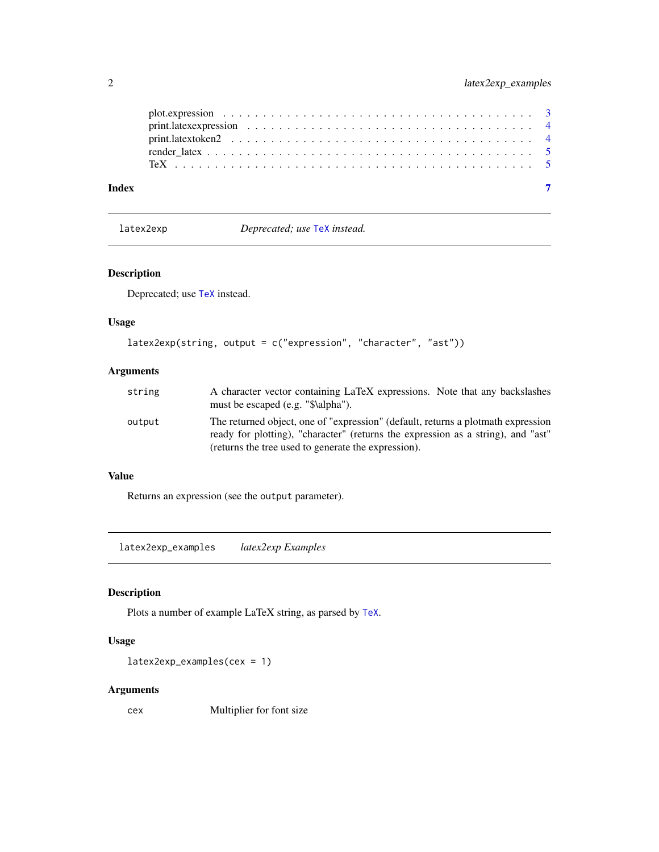<span id="page-1-0"></span>

|       | plot. expression $\ldots \ldots \ldots \ldots \ldots \ldots \ldots \ldots \ldots \ldots \ldots \ldots \ldots$ |  |
|-------|---------------------------------------------------------------------------------------------------------------|--|
|       |                                                                                                               |  |
|       |                                                                                                               |  |
|       |                                                                                                               |  |
| Index |                                                                                                               |  |

latex2exp *Deprecated; use* [TeX](#page-4-1) *instead.*

#### Description

Deprecated; use [TeX](#page-4-1) instead.

#### Usage

```
latex2exp(string, output = c("expression", "character", "ast"))
```
#### Arguments

| string | A character vector containing LaTeX expressions. Note that any backslashes<br>must be escaped (e.g. "\$\alpha").                                                                                                            |
|--------|-----------------------------------------------------------------------------------------------------------------------------------------------------------------------------------------------------------------------------|
| output | The returned object, one of "expression" (default, returns a plotmath expression<br>ready for plotting), "character" (returns the expression as a string), and "ast"<br>(returns the tree used to generate the expression). |

#### Value

Returns an expression (see the output parameter).

latex2exp\_examples *latex2exp Examples*

#### Description

Plots a number of example LaTeX string, as parsed by [TeX](#page-4-1).

#### Usage

```
latex2exp_examples(cex = 1)
```
#### Arguments

cex Multiplier for font size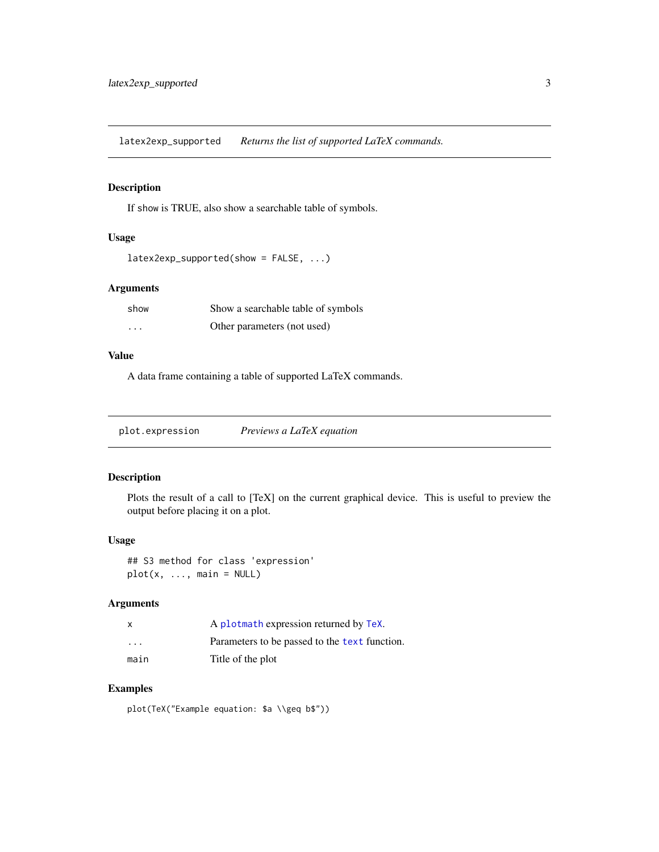<span id="page-2-0"></span>latex2exp\_supported *Returns the list of supported LaTeX commands.*

#### Description

If show is TRUE, also show a searchable table of symbols.

#### Usage

```
latex2exp_supported(show = FALSE, ...)
```
#### Arguments

| show     | Show a searchable table of symbols |
|----------|------------------------------------|
| $\cdots$ | Other parameters (not used)        |

#### Value

A data frame containing a table of supported LaTeX commands.

plot.expression *Previews a LaTeX equation*

#### Description

Plots the result of a call to [TeX] on the current graphical device. This is useful to preview the output before placing it on a plot.

#### Usage

## S3 method for class 'expression'  $plot(x, ..., main = NULL)$ 

#### Arguments

|                         | A plotmath expression returned by TeX.        |
|-------------------------|-----------------------------------------------|
| $\cdot$ $\cdot$ $\cdot$ | Parameters to be passed to the text function. |
| main                    | Title of the plot                             |

#### Examples

plot(TeX("Example equation: \$a \\geq b\$"))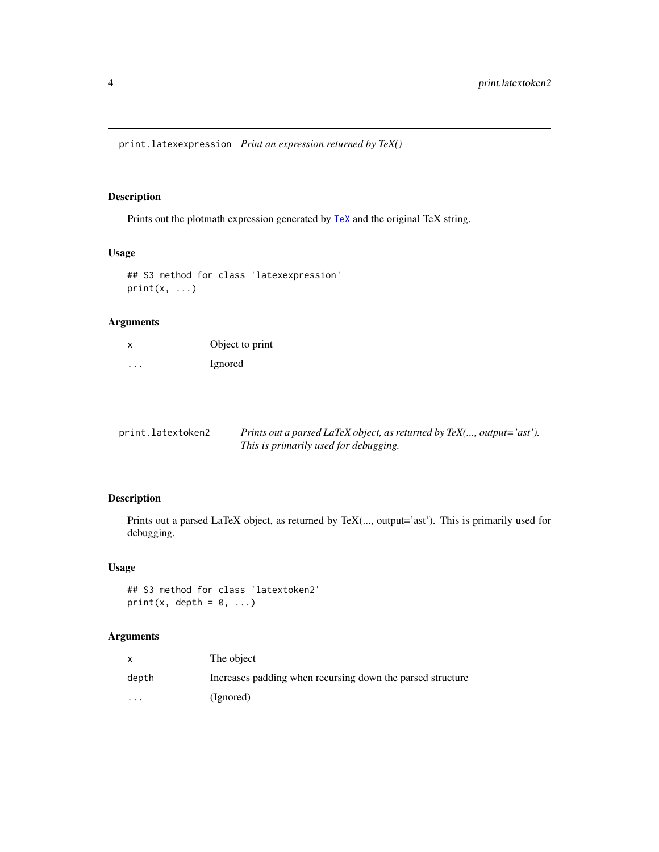#### <span id="page-3-0"></span>Description

Prints out the plotmath expression generated by [TeX](#page-4-1) and the original TeX string.

#### Usage

```
## S3 method for class 'latexexpression'
print(x, \ldots)
```
#### Arguments

| x                    | Object to print |
|----------------------|-----------------|
| $\ddot{\phantom{0}}$ | Ignored         |

| print.latextoken2 | Prints out a parsed LaTeX object, as returned by $T\ell X$ ,, output='ast'). |
|-------------------|------------------------------------------------------------------------------|
|                   | This is primarily used for debugging.                                        |

#### Description

Prints out a parsed LaTeX object, as returned by TeX(..., output='ast'). This is primarily used for debugging.

#### Usage

```
## S3 method for class 'latextoken2'
print(x, depth = 0, ...)
```
#### Arguments

|                         | The object                                                 |
|-------------------------|------------------------------------------------------------|
| depth                   | Increases padding when recursing down the parsed structure |
| $\cdot$ $\cdot$ $\cdot$ | (Ignored)                                                  |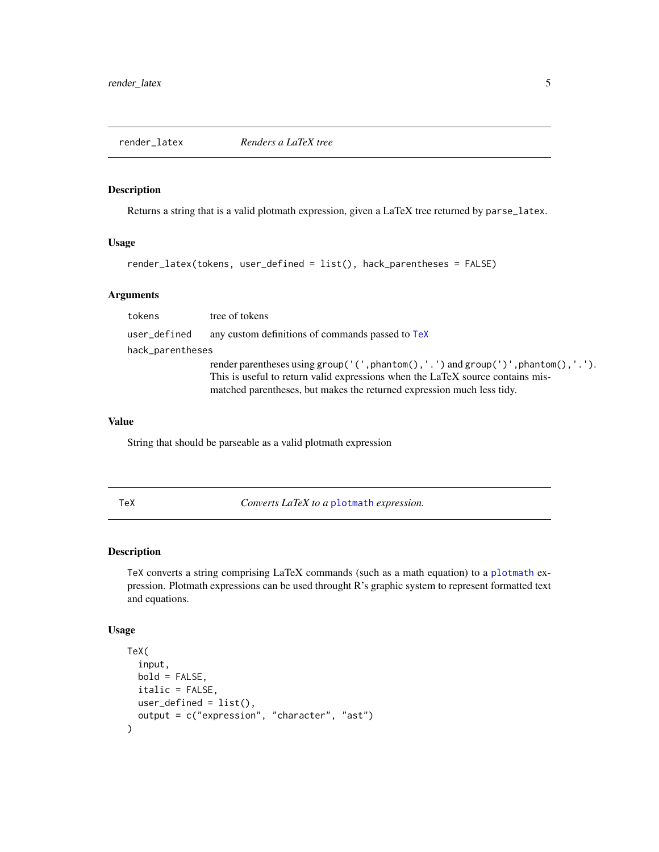<span id="page-4-0"></span>

#### Description

Returns a string that is a valid plotmath expression, given a LaTeX tree returned by parse\_latex.

#### Usage

```
render_latex(tokens, user_defined = list(), hack_parentheses = FALSE)
```
#### Arguments

tokens tree of tokens user\_defined any custom definitions of commands passed to [TeX](#page-4-1) hack\_parentheses render parentheses using group('(',phantom(),'.') and group(')',phantom(),'.'). This is useful to return valid expressions when the LaTeX source contains mismatched parentheses, but makes the returned expression much less tidy.

#### Value

String that should be parseable as a valid plotmath expression

<span id="page-4-1"></span>

TeX *Converts LaTeX to a* [plotmath](#page-0-0) *expression.*

#### Description

TeX converts a string comprising LaTeX commands (such as a math equation) to a [plotmath](#page-0-0) expression. Plotmath expressions can be used throught R's graphic system to represent formatted text and equations.

#### Usage

```
TeX(
  input,
 bold = FALSE,
  italic = FALSE,
  user_defined = list(),
  output = c("expression", "character", "ast")
)
```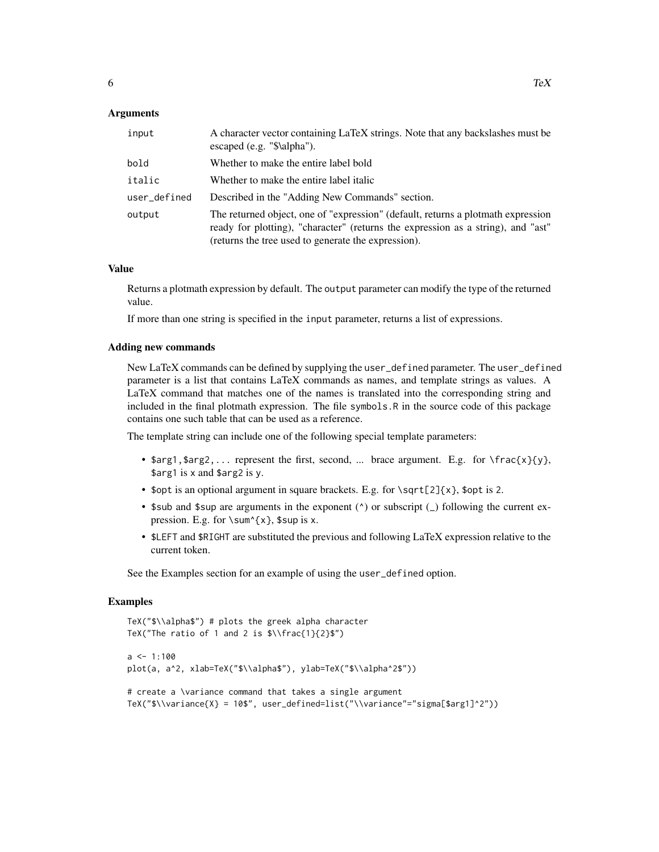#### Arguments

| input        | A character vector containing LaTeX strings. Note that any backslashes must be<br>escaped (e.g. "\$\alpha").                                                                                                                |
|--------------|-----------------------------------------------------------------------------------------------------------------------------------------------------------------------------------------------------------------------------|
| bold         | Whether to make the entire label bold                                                                                                                                                                                       |
| italic       | Whether to make the entire label italic                                                                                                                                                                                     |
| user_defined | Described in the "Adding New Commands" section.                                                                                                                                                                             |
| output       | The returned object, one of "expression" (default, returns a plotmath expression<br>ready for plotting), "character" (returns the expression as a string), and "ast"<br>(returns the tree used to generate the expression). |

#### Value

Returns a plotmath expression by default. The output parameter can modify the type of the returned value.

If more than one string is specified in the input parameter, returns a list of expressions.

#### Adding new commands

New LaTeX commands can be defined by supplying the user\_defined parameter. The user\_defined parameter is a list that contains LaTeX commands as names, and template strings as values. A LaTeX command that matches one of the names is translated into the corresponding string and included in the final plotmath expression. The file symbols.R in the source code of this package contains one such table that can be used as a reference.

The template string can include one of the following special template parameters:

- $\text{Sarg1}, \text{Sarg2}, \ldots$  represent the first, second, ... brace argument. E.g. for  $\frac{x}{y}$ , \$arg1 is x and \$arg2 is y.
- \$opt is an optional argument in square brackets. E.g. for  $\sqrt{\sqrt{2}x}$ , \$opt is 2.
- \$sub and \$sup are arguments in the exponent ( $\land$ ) or subscript ( $\Box$ ) following the current expression. E.g. for  $\sum_{x}$ ,  $\sum_{x}$ ,  $\sum_{x}$
- \$LEFT and \$RIGHT are substituted the previous and following LaTeX expression relative to the current token.

See the Examples section for an example of using the user\_defined option.

#### Examples

```
TeX("$\\alpha$") # plots the greek alpha character
TeX("The ratio of 1 and 2 is \\frac{1}{2}\")
a \leq -1:100plot(a, a^2, xlab=TeX("$\\alpha$"), ylab=TeX("$\\alpha^2$"))
# create a \variance command that takes a single argument
TeX("$\\variance{X} = 10$", user_defined=list("\\variance"="sigma[$arg1]^2"))
```